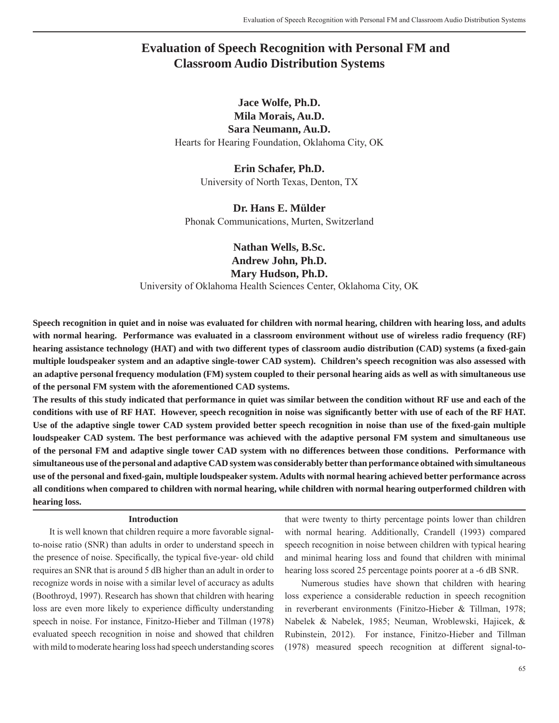# **Evaluation of Speech Recognition with Personal FM and Classroom Audio Distribution Systems**

## **Jace Wolfe, Ph.D. Mila Morais, Au.D. Sara Neumann, Au.D.** Hearts for Hearing Foundation, Oklahoma City, OK

**Erin Schafer, Ph.D.** University of North Texas, Denton, TX

## **Dr. Hans E. Mülder**

Phonak Communications, Murten, Switzerland

**Nathan Wells, B.Sc. Andrew John, Ph.D. Mary Hudson, Ph.D.** University of Oklahoma Health Sciences Center, Oklahoma City, OK

**Speech recognition in quiet and in noise was evaluated for children with normal hearing, children with hearing loss, and adults with normal hearing. Performance was evaluated in a classroom environment without use of wireless radio frequency (RF) hearing assistance technology (HAT) and with two different types of classroom audio distribution (CAD) systems (a fixed-gain multiple loudspeaker system and an adaptive single-tower CAD system). Children's speech recognition was also assessed with an adaptive personal frequency modulation (FM) system coupled to their personal hearing aids as well as with simultaneous use of the personal FM system with the aforementioned CAD systems.**

**The results of this study indicated that performance in quiet was similar between the condition without RF use and each of the**  conditions with use of RF HAT. However, speech recognition in noise was significantly better with use of each of the RF HAT. Use of the adaptive single tower CAD system provided better speech recognition in noise than use of the fixed-gain multiple **loudspeaker CAD system. The best performance was achieved with the adaptive personal FM system and simultaneous use of the personal FM and adaptive single tower CAD system with no differences between those conditions. Performance with simultaneous use of the personal and adaptive CAD system was considerably better than performance obtained with simultaneous use of the personal and fi xed-gain, multiple loudspeaker system. Adults with normal hearing achieved better performance across all conditions when compared to children with normal hearing, while children with normal hearing outperformed children with hearing loss.** 

#### **Introduction**

It is well known that children require a more favorable signalto-noise ratio (SNR) than adults in order to understand speech in the presence of noise. Specifically, the typical five-year- old child requires an SNR that is around 5 dB higher than an adult in order to recognize words in noise with a similar level of accuracy as adults (Boothroyd, 1997). Research has shown that children with hearing loss are even more likely to experience difficulty understanding speech in noise. For instance, Finitzo-Hieber and Tillman (1978) evaluated speech recognition in noise and showed that children with mild to moderate hearing loss had speech understanding scores

that were twenty to thirty percentage points lower than children with normal hearing. Additionally, Crandell (1993) compared speech recognition in noise between children with typical hearing and minimal hearing loss and found that children with minimal hearing loss scored 25 percentage points poorer at a  $-6$  dB SNR.

Numerous studies have shown that children with hearing loss experience a considerable reduction in speech recognition in reverberant environments (Finitzo-Hieber & Tillman, 1978; Nabelek & Nabelek, 1985; Neuman, Wroblewski, Hajicek, & Rubinstein, 2012). For instance, Finitzo-Hieber and Tillman (1978) measured speech recognition at different signal-to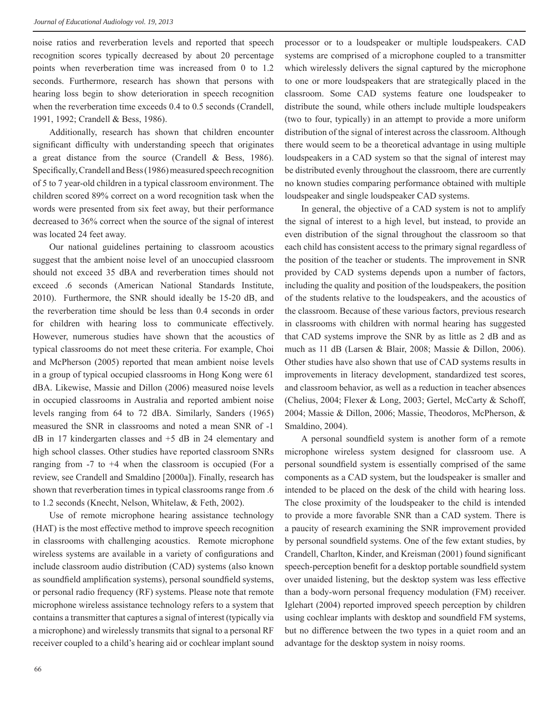noise ratios and reverberation levels and reported that speech recognition scores typically decreased by about 20 percentage points when reverberation time was increased from 0 to 1.2 seconds. Furthermore, research has shown that persons with hearing loss begin to show deterioration in speech recognition when the reverberation time exceeds 0.4 to 0.5 seconds (Crandell, 1991, 1992; Crandell & Bess, 1986).

Additionally, research has shown that children encounter significant difficulty with understanding speech that originates a great distance from the source (Crandell & Bess, 1986). Specifically, Crandell and Bess (1986) measured speech recognition of 5 to 7 year-old children in a typical classroom environment. The children scored 89% correct on a word recognition task when the words were presented from six feet away, but their performance decreased to 36% correct when the source of the signal of interest was located 24 feet away.

Our national guidelines pertaining to classroom acoustics suggest that the ambient noise level of an unoccupied classroom should not exceed 35 dBA and reverberation times should not exceed .6 seconds (American National Standards Institute, 2010). Furthermore, the SNR should ideally be 15-20 dB, and the reverberation time should be less than 0.4 seconds in order for children with hearing loss to communicate effectively. However, numerous studies have shown that the acoustics of typical classrooms do not meet these criteria. For example, Choi and McPherson (2005) reported that mean ambient noise levels in a group of typical occupied classrooms in Hong Kong were 61 dBA. Likewise, Massie and Dillon (2006) measured noise levels in occupied classrooms in Australia and reported ambient noise levels ranging from 64 to 72 dBA. Similarly, Sanders (1965) measured the SNR in classrooms and noted a mean SNR of -1 dB in 17 kindergarten classes and +5 dB in 24 elementary and high school classes. Other studies have reported classroom SNRs ranging from  $-7$  to  $+4$  when the classroom is occupied (For a review, see Crandell and Smaldino [2000a]). Finally, research has shown that reverberation times in typical classrooms range from .6 to 1.2 seconds (Knecht, Nelson, Whitelaw, & Feth, 2002).

Use of remote microphone hearing assistance technology (HAT) is the most effective method to improve speech recognition in classrooms with challenging acoustics. Remote microphone wireless systems are available in a variety of configurations and include classroom audio distribution (CAD) systems (also known as soundfield amplification systems), personal soundfield systems, or personal radio frequency (RF) systems. Please note that remote microphone wireless assistance technology refers to a system that contains a transmitter that captures a signal of interest (typically via a microphone) and wirelessly transmits that signal to a personal RF receiver coupled to a child's hearing aid or cochlear implant sound

processor or to a loudspeaker or multiple loudspeakers. CAD systems are comprised of a microphone coupled to a transmitter which wirelessly delivers the signal captured by the microphone to one or more loudspeakers that are strategically placed in the classroom. Some CAD systems feature one loudspeaker to distribute the sound, while others include multiple loudspeakers (two to four, typically) in an attempt to provide a more uniform distribution of the signal of interest across the classroom. Although there would seem to be a theoretical advantage in using multiple loudspeakers in a CAD system so that the signal of interest may be distributed evenly throughout the classroom, there are currently no known studies comparing performance obtained with multiple loudspeaker and single loudspeaker CAD systems.

In general, the objective of a CAD system is not to amplify the signal of interest to a high level, but instead, to provide an even distribution of the signal throughout the classroom so that each child has consistent access to the primary signal regardless of the position of the teacher or students. The improvement in SNR provided by CAD systems depends upon a number of factors, including the quality and position of the loudspeakers, the position of the students relative to the loudspeakers, and the acoustics of the classroom. Because of these various factors, previous research in classrooms with children with normal hearing has suggested that CAD systems improve the SNR by as little as 2 dB and as much as 11 dB (Larsen & Blair, 2008; Massie & Dillon, 2006). Other studies have also shown that use of CAD systems results in improvements in literacy development, standardized test scores, and classroom behavior, as well as a reduction in teacher absences (Chelius, 2004; Flexer & Long, 2003; Gertel, McCarty & Schoff, 2004; Massie & Dillon, 2006; Massie, Theodoros, McPherson, & Smaldino, 2004).

A personal soundfield system is another form of a remote microphone wireless system designed for classroom use. A personal soundfield system is essentially comprised of the same components as a CAD system, but the loudspeaker is smaller and intended to be placed on the desk of the child with hearing loss. The close proximity of the loudspeaker to the child is intended to provide a more favorable SNR than a CAD system. There is a paucity of research examining the SNR improvement provided by personal soundfield systems. One of the few extant studies, by Crandell, Charlton, Kinder, and Kreisman (2001) found significant speech-perception benefit for a desktop portable soundfield system over unaided listening, but the desktop system was less effective than a body-worn personal frequency modulation (FM) receiver. Iglehart (2004) reported improved speech perception by children using cochlear implants with desktop and soundfield FM systems, but no difference between the two types in a quiet room and an advantage for the desktop system in noisy rooms.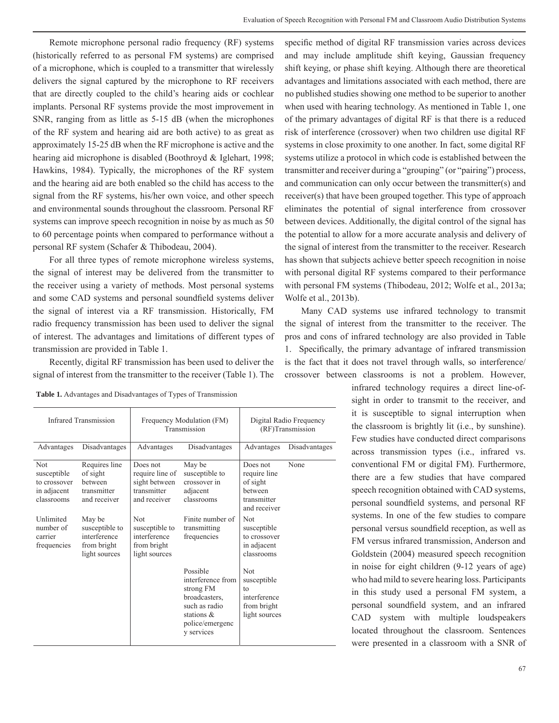Remote microphone personal radio frequency (RF) systems (historically referred to as personal FM systems) are comprised of a microphone, which is coupled to a transmitter that wirelessly delivers the signal captured by the microphone to RF receivers that are directly coupled to the child's hearing aids or cochlear implants. Personal RF systems provide the most improvement in SNR, ranging from as little as 5-15 dB (when the microphones of the RF system and hearing aid are both active) to as great as approximately 15-25 dB when the RF microphone is active and the hearing aid microphone is disabled (Boothroyd & Iglehart, 1998; Hawkins, 1984). Typically, the microphones of the RF system and the hearing aid are both enabled so the child has access to the signal from the RF systems, his/her own voice, and other speech and environmental sounds throughout the classroom. Personal RF systems can improve speech recognition in noise by as much as 50 to 60 percentage points when compared to performance without a personal RF system (Schafer & Thibodeau, 2004).

For all three types of remote microphone wireless systems, the signal of interest may be delivered from the transmitter to the receiver using a variety of methods. Most personal systems and some CAD systems and personal soundfield systems deliver the signal of interest via a RF transmission. Historically, FM radio frequency transmission has been used to deliver the signal of interest. The advantages and limitations of different types of transmission are provided in Table 1.

Recently, digital RF transmission has been used to deliver the signal of interest from the transmitter to the receiver (Table 1). The

| <b>Table 1.</b> Advantages and Disadvantages of Types of Transmission |  |
|-----------------------------------------------------------------------|--|
|-----------------------------------------------------------------------|--|

| <b>Infrared Transmission</b>                                    |                                                                          | Frequency Modulation (FM)<br>Transmission                                    |                                                                                                                                | Digital Radio Frequency<br>(RF)Transmission                                     |               |
|-----------------------------------------------------------------|--------------------------------------------------------------------------|------------------------------------------------------------------------------|--------------------------------------------------------------------------------------------------------------------------------|---------------------------------------------------------------------------------|---------------|
| Advantages                                                      | Disadvantages                                                            | Advantages                                                                   | Disadvantages                                                                                                                  | Advantages                                                                      | Disadvantages |
| Not<br>susceptible<br>to crossover<br>in adjacent<br>classrooms | Requires line<br>of sight<br>hetween<br>transmitter<br>and receiver      | Does not<br>require line of<br>sight between<br>transmitter<br>and receiver  | May be<br>susceptible to<br>crossover in<br>adjacent<br>classrooms                                                             | Does not<br>require line<br>of sight<br>hetween<br>transmitter<br>and receiver  | None          |
| Unlimited<br>number of<br>carrier<br>frequencies                | May be<br>susceptible to<br>interference<br>from bright<br>light sources | <b>Not</b><br>susceptible to<br>interference<br>from bright<br>light sources | Finite number of<br>transmitting<br>frequencies                                                                                | <b>Not</b><br>susceptible<br>to crossover<br>in adjacent<br>classrooms          |               |
|                                                                 |                                                                          |                                                                              | Possible<br>interference from<br>strong FM<br>broadcasters.<br>such as radio<br>stations $\&$<br>police/emergenc<br>y services | <b>Not</b><br>susceptible<br>to<br>interference<br>from bright<br>light sources |               |

specific method of digital RF transmission varies across devices and may include amplitude shift keying, Gaussian frequency shift keying, or phase shift keying. Although there are theoretical advantages and limitations associated with each method, there are no published studies showing one method to be superior to another when used with hearing technology. As mentioned in Table 1, one of the primary advantages of digital RF is that there is a reduced risk of interference (crossover) when two children use digital RF systems in close proximity to one another. In fact, some digital RF systems utilize a protocol in which code is established between the transmitter and receiver during a "grouping" (or "pairing") process, and communication can only occur between the transmitter(s) and receiver(s) that have been grouped together. This type of approach eliminates the potential of signal interference from crossover between devices. Additionally, the digital control of the signal has the potential to allow for a more accurate analysis and delivery of the signal of interest from the transmitter to the receiver. Research has shown that subjects achieve better speech recognition in noise with personal digital RF systems compared to their performance with personal FM systems (Thibodeau, 2012; Wolfe et al., 2013a; Wolfe et al., 2013b).

Many CAD systems use infrared technology to transmit the signal of interest from the transmitter to the receiver. The pros and cons of infrared technology are also provided in Table 1. Specifically, the primary advantage of infrared transmission is the fact that it does not travel through walls, so interference/ crossover between classrooms is not a problem. However,

infrared technology requires a direct line-ofsight in order to transmit to the receiver, and it is susceptible to signal interruption when the classroom is brightly lit (i.e., by sunshine). Few studies have conducted direct comparisons across transmission types (i.e., infrared vs. conventional FM or digital FM). Furthermore, there are a few studies that have compared speech recognition obtained with CAD systems, personal soundfield systems, and personal RF systems. In one of the few studies to compare personal versus soundfield reception, as well as FM versus infrared transmission, Anderson and Goldstein (2004) measured speech recognition in noise for eight children (9-12 years of age) who had mild to severe hearing loss. Participants in this study used a personal FM system, a personal soundfield system, and an infrared CAD system with multiple loudspeakers located throughout the classroom. Sentences were presented in a classroom with a SNR of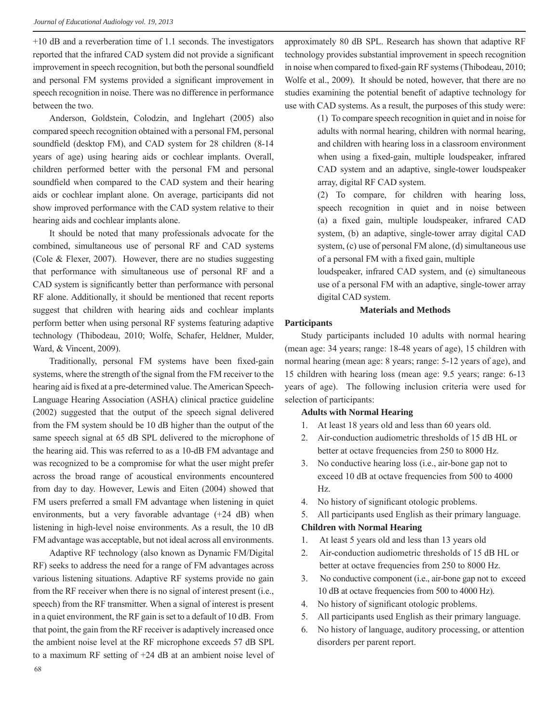+10 dB and a reverberation time of 1.1 seconds. The investigators reported that the infrared CAD system did not provide a significant improvement in speech recognition, but both the personal soundfield and personal FM systems provided a significant improvement in speech recognition in noise. There was no difference in performance between the two.

Anderson, Goldstein, Colodzin, and Inglehart (2005) also compared speech recognition obtained with a personal FM, personal soundfield (desktop FM), and CAD system for 28 children (8-14) years of age) using hearing aids or cochlear implants. Overall, children performed better with the personal FM and personal soundfield when compared to the CAD system and their hearing aids or cochlear implant alone. On average, participants did not show improved performance with the CAD system relative to their hearing aids and cochlear implants alone.

It should be noted that many professionals advocate for the combined, simultaneous use of personal RF and CAD systems (Cole & Flexer, 2007). However, there are no studies suggesting that performance with simultaneous use of personal RF and a CAD system is significantly better than performance with personal RF alone. Additionally, it should be mentioned that recent reports suggest that children with hearing aids and cochlear implants perform better when using personal RF systems featuring adaptive technology (Thibodeau, 2010; Wolfe, Schafer, Heldner, Mulder, Ward, & Vincent, 2009).

Traditionally, personal FM systems have been fixed-gain systems, where the strength of the signal from the FM receiver to the hearing aid is fixed at a pre-determined value. The American Speech-Language Hearing Association (ASHA) clinical practice guideline (2002) suggested that the output of the speech signal delivered from the FM system should be 10 dB higher than the output of the same speech signal at 65 dB SPL delivered to the microphone of the hearing aid. This was referred to as a 10-dB FM advantage and was recognized to be a compromise for what the user might prefer across the broad range of acoustical environments encountered from day to day. However, Lewis and Eiten (2004) showed that FM users preferred a small FM advantage when listening in quiet environments, but a very favorable advantage (+24 dB) when listening in high-level noise environments. As a result, the 10 dB FM advantage was acceptable, but not ideal across all environments.

Adaptive RF technology (also known as Dynamic FM/Digital RF) seeks to address the need for a range of FM advantages across various listening situations. Adaptive RF systems provide no gain from the RF receiver when there is no signal of interest present (i.e., speech) from the RF transmitter. When a signal of interest is present in a quiet environment, the RF gain is set to a default of 10 dB. From that point, the gain from the RF receiver is adaptively increased once the ambient noise level at the RF microphone exceeds 57 dB SPL to a maximum RF setting of +24 dB at an ambient noise level of approximately 80 dB SPL. Research has shown that adaptive RF technology provides substantial improvement in speech recognition in noise when compared to fixed-gain RF systems (Thibodeau, 2010; Wolfe et al., 2009). It should be noted, however, that there are no studies examining the potential benefit of adaptive technology for use with CAD systems. As a result, the purposes of this study were:

> (1) To compare speech recognition in quiet and in noise for adults with normal hearing, children with normal hearing, and children with hearing loss in a classroom environment when using a fixed-gain, multiple loudspeaker, infrared CAD system and an adaptive, single-tower loudspeaker array, digital RF CAD system.

> (2) To compare, for children with hearing loss, speech recognition in quiet and in noise between (a) a fixed gain, multiple loudspeaker, infrared CAD system, (b) an adaptive, single-tower array digital CAD system, (c) use of personal FM alone, (d) simultaneous use of a personal FM with a fixed gain, multiple

> loudspeaker, infrared CAD system, and (e) simultaneous use of a personal FM with an adaptive, single-tower array digital CAD system.

### **Materials and Methods**

#### **Participants**

Study participants included 10 adults with normal hearing (mean age: 34 years; range: 18-48 years of age), 15 children with normal hearing (mean age: 8 years; range: 5-12 years of age), and 15 children with hearing loss (mean age: 9.5 years; range: 6-13 years of age). The following inclusion criteria were used for selection of participants:

## **Adults with Normal Hearing**

- 1. At least 18 years old and less than 60 years old.
- 2. Air-conduction audiometric thresholds of 15 dB HL or better at octave frequencies from 250 to 8000 Hz.
- 3. No conductive hearing loss (i.e., air-bone gap not to exceed 10 dB at octave frequencies from 500 to 4000 Hz.
- 4. No history of significant otologic problems.
- 5. All participants used English as their primary language.

#### **Children with Normal Hearing**

- 1. At least 5 years old and less than 13 years old
- 2. Air-conduction audiometric thresholds of 15 dB HL or better at octave frequencies from 250 to 8000 Hz.
- 3. No conductive component (i.e., air-bone gap not to exceed 10 dB at octave frequencies from 500 to 4000 Hz).
- 4. No history of significant otologic problems.
- 5. All participants used English as their primary language.
- 6. No history of language, auditory processing, or attention disorders per parent report.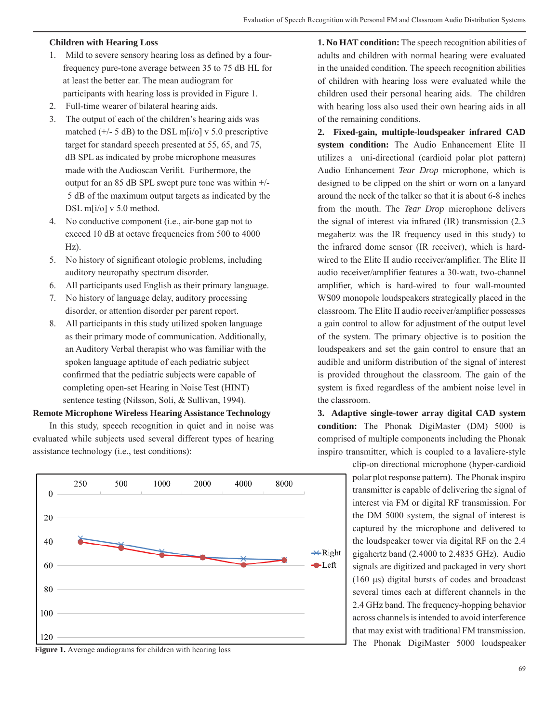## **Children with Hearing Loss**

- 1. Mild to severe sensory hearing loss as defined by a four frequency pure-tone average between 35 to 75 dB HL for at least the better ear. The mean audiogram for participants with hearing loss is provided in Figure 1.
- 2. Full-time wearer of bilateral hearing aids.
- 3. The output of each of the children's hearing aids was matched  $(+/- 5$  dB) to the DSL m[i/o] v 5.0 prescriptive target for standard speech presented at 55, 65, and 75, dB SPL as indicated by probe microphone measures made with the Audioscan Verifit. Furthermore, the output for an 85 dB SPL swept pure tone was within  $+/-$  5 dB of the maximum output targets as indicated by the DSL m[i/o] v 5.0 method.
- 4. No conductive component (i.e., air-bone gap not to exceed 10 dB at octave frequencies from 500 to 4000 Hz).
- 5. No history of significant otologic problems, including auditory neuropathy spectrum disorder.
- 6. All participants used English as their primary language.
- 7. No history of language delay, auditory processing disorder, or attention disorder per parent report.
- 8. All participants in this study utilized spoken language as their primary mode of communication. Additionally, an Auditory Verbal therapist who was familiar with the spoken language aptitude of each pediatric subject confirmed that the pediatric subjects were capable of completing open-set Hearing in Noise Test (HINT) sentence testing (Nilsson, Soli, & Sullivan, 1994).

## **Remote Microphone Wireless Hearing Assistance Technology**

In this study, speech recognition in quiet and in noise was evaluated while subjects used several different types of hearing assistance technology (i.e., test conditions):



**1. No HAT condition:** The speech recognition abilities of adults and children with normal hearing were evaluated in the unaided condition. The speech recognition abilities of children with hearing loss were evaluated while the children used their personal hearing aids. The children with hearing loss also used their own hearing aids in all of the remaining conditions.

**2. Fixed-gain, multiple-loudspeaker infrared CAD system condition:** The Audio Enhancement Elite II utilizes a uni-directional (cardioid polar plot pattern) Audio Enhancement *Tear Drop* microphone, which is designed to be clipped on the shirt or worn on a lanyard around the neck of the talker so that it is about 6-8 inches from the mouth. The *Tear Drop* microphone delivers the signal of interest via infrared (IR) transmission (2.3 megahertz was the IR frequency used in this study) to the infrared dome sensor (IR receiver), which is hardwired to the Elite II audio receiver/amplifier. The Elite II audio receiver/amplifier features a 30-watt, two-channel amplifier, which is hard-wired to four wall-mounted WS09 monopole loudspeakers strategically placed in the classroom. The Elite II audio receiver/amplifier possesses a gain control to allow for adjustment of the output level of the system. The primary objective is to position the loudspeakers and set the gain control to ensure that an audible and uniform distribution of the signal of interest is provided throughout the classroom. The gain of the system is fixed regardless of the ambient noise level in the classroom.

**3. Adaptive single-tower array digital CAD system condition:** The Phonak DigiMaster (DM) 5000 is comprised of multiple components including the Phonak inspiro transmitter, which is coupled to a lavaliere-style

> clip-on directional microphone (hyper-cardioid polar plot response pattern). The Phonak inspiro transmitter is capable of delivering the signal of interest via FM or digital RF transmission. For the DM 5000 system, the signal of interest is captured by the microphone and delivered to the loudspeaker tower via digital RF on the 2.4 gigahertz band (2.4000 to 2.4835 GHz). Audio signals are digitized and packaged in very short (160 μs) digital bursts of codes and broadcast several times each at different channels in the 2.4 GHz band. The frequency-hopping behavior across channels is intended to avoid interference that may exist with traditional FM transmission.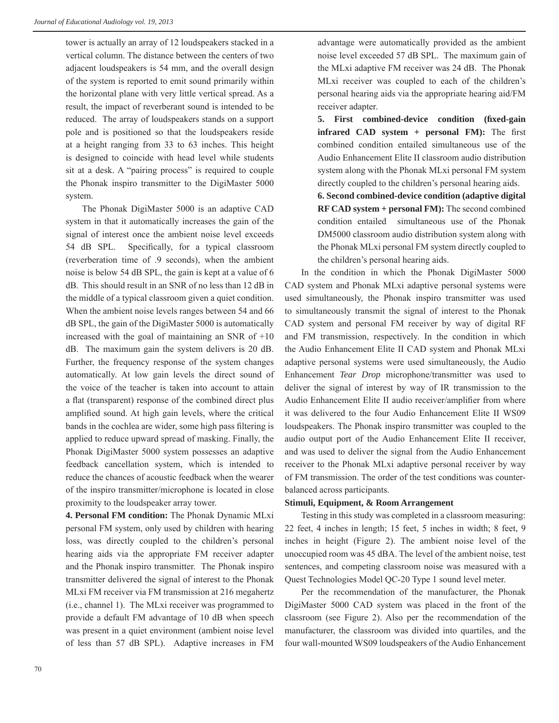tower is actually an array of 12 loudspeakers stacked in a vertical column. The distance between the centers of two adjacent loudspeakers is 54 mm, and the overall design of the system is reported to emit sound primarily within the horizontal plane with very little vertical spread. As a result, the impact of reverberant sound is intended to be reduced. The array of loudspeakers stands on a support pole and is positioned so that the loudspeakers reside at a height ranging from 33 to 63 inches. This height is designed to coincide with head level while students sit at a desk. A "pairing process" is required to couple the Phonak inspiro transmitter to the DigiMaster 5000 system.

The Phonak DigiMaster 5000 is an adaptive CAD system in that it automatically increases the gain of the signal of interest once the ambient noise level exceeds 54 dB SPL. Specifically, for a typical classroom (reverberation time of .9 seconds), when the ambient noise is below 54 dB SPL, the gain is kept at a value of 6 dB. This should result in an SNR of no less than 12 dB in the middle of a typical classroom given a quiet condition. When the ambient noise levels ranges between 54 and 66 dB SPL, the gain of the DigiMaster 5000 is automatically increased with the goal of maintaining an SNR of  $+10$ dB. The maximum gain the system delivers is 20 dB. Further, the frequency response of the system changes automatically. At low gain levels the direct sound of the voice of the teacher is taken into account to attain a flat (transparent) response of the combined direct plus amplified sound. At high gain levels, where the critical bands in the cochlea are wider, some high pass filtering is applied to reduce upward spread of masking. Finally, the Phonak DigiMaster 5000 system possesses an adaptive feedback cancellation system, which is intended to reduce the chances of acoustic feedback when the wearer of the inspiro transmitter/microphone is located in close proximity to the loudspeaker array tower.

**4. Personal FM condition:** The Phonak Dynamic MLxi personal FM system, only used by children with hearing loss, was directly coupled to the children's personal hearing aids via the appropriate FM receiver adapter and the Phonak inspiro transmitter. The Phonak inspiro transmitter delivered the signal of interest to the Phonak MLxi FM receiver via FM transmission at 216 megahertz (i.e., channel 1). The MLxi receiver was programmed to provide a default FM advantage of 10 dB when speech was present in a quiet environment (ambient noise level of less than 57 dB SPL). Adaptive increases in FM

advantage were automatically provided as the ambient noise level exceeded 57 dB SPL. The maximum gain of the MLxi adaptive FM receiver was 24 dB. The Phonak MLxi receiver was coupled to each of the children's personal hearing aids via the appropriate hearing aid/FM receiver adapter.

**5.** First combined-device condition (fixed-gain **infrared CAD system + personal FM):** The first combined condition entailed simultaneous use of the Audio Enhancement Elite II classroom audio distribution system along with the Phonak MLxi personal FM system directly coupled to the children's personal hearing aids.

**6. Second combined-device condition (adaptive digital RF CAD system + personal FM):** The second combined condition entailed simultaneous use of the Phonak DM5000 classroom audio distribution system along with the Phonak MLxi personal FM system directly coupled to the children's personal hearing aids.

In the condition in which the Phonak DigiMaster 5000 CAD system and Phonak MLxi adaptive personal systems were used simultaneously, the Phonak inspiro transmitter was used to simultaneously transmit the signal of interest to the Phonak CAD system and personal FM receiver by way of digital RF and FM transmission, respectively. In the condition in which the Audio Enhancement Elite II CAD system and Phonak MLxi adaptive personal systems were used simultaneously, the Audio Enhancement *Tear Drop* microphone/transmitter was used to deliver the signal of interest by way of IR transmission to the Audio Enhancement Elite II audio receiver/amplifier from where it was delivered to the four Audio Enhancement Elite II WS09 loudspeakers. The Phonak inspiro transmitter was coupled to the audio output port of the Audio Enhancement Elite II receiver, and was used to deliver the signal from the Audio Enhancement receiver to the Phonak MLxi adaptive personal receiver by way of FM transmission. The order of the test conditions was counterbalanced across participants.

#### **Stimuli, Equipment, & Room Arrangement**

Testing in this study was completed in a classroom measuring: 22 feet, 4 inches in length; 15 feet, 5 inches in width; 8 feet, 9 inches in height (Figure 2). The ambient noise level of the unoccupied room was 45 dBA. The level of the ambient noise, test sentences, and competing classroom noise was measured with a Quest Technologies Model QC-20 Type 1 sound level meter.

Per the recommendation of the manufacturer, the Phonak DigiMaster 5000 CAD system was placed in the front of the classroom (see Figure 2). Also per the recommendation of the manufacturer, the classroom was divided into quartiles, and the four wall-mounted WS09 loudspeakers of the Audio Enhancement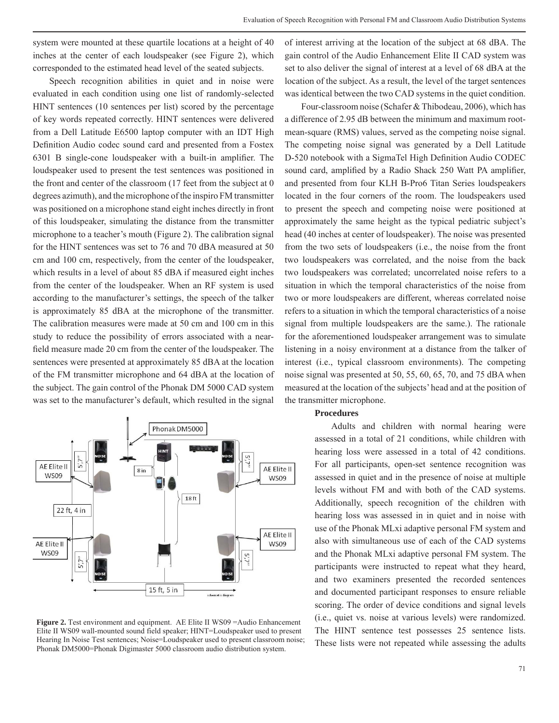system were mounted at these quartile locations at a height of 40 inches at the center of each loudspeaker (see Figure 2), which corresponded to the estimated head level of the seated subjects.

Speech recognition abilities in quiet and in noise were evaluated in each condition using one list of randomly-selected HINT sentences (10 sentences per list) scored by the percentage of key words repeated correctly. HINT sentences were delivered from a Dell Latitude E6500 laptop computer with an IDT High Definition Audio codec sound card and presented from a Fostex 6301 B single-cone loudspeaker with a built-in amplifier. The loudspeaker used to present the test sentences was positioned in the front and center of the classroom (17 feet from the subject at 0 degrees azimuth), and the microphone of the inspiro FM transmitter was positioned on a microphone stand eight inches directly in front of this loudspeaker, simulating the distance from the transmitter microphone to a teacher's mouth (Figure 2). The calibration signal for the HINT sentences was set to 76 and 70 dBA measured at 50 cm and 100 cm, respectively, from the center of the loudspeaker, which results in a level of about 85 dBA if measured eight inches from the center of the loudspeaker. When an RF system is used according to the manufacturer's settings, the speech of the talker is approximately 85 dBA at the microphone of the transmitter. The calibration measures were made at 50 cm and 100 cm in this study to reduce the possibility of errors associated with a nearfield measure made 20 cm from the center of the loudspeaker. The sentences were presented at approximately 85 dBA at the location of the FM transmitter microphone and 64 dBA at the location of the subject. The gain control of the Phonak DM 5000 CAD system was set to the manufacturer's default, which resulted in the signal



**Figure 2.** Test environment and equipment. AE Elite II WS09 = Audio Enhancement Elite II WS09 wall-mounted sound field speaker; HINT=Loudspeaker used to present Hearing In Noise Test sentences; Noise=Loudspeaker used to present classroom noise; Phonak DM5000=Phonak Digimaster 5000 classroom audio distribution system.

of interest arriving at the location of the subject at 68 dBA. The gain control of the Audio Enhancement Elite II CAD system was set to also deliver the signal of interest at a level of 68 dBA at the location of the subject. As a result, the level of the target sentences was identical between the two CAD systems in the quiet condition.

Four-classroom noise (Schafer & Thibodeau, 2006), which has a difference of 2.95 dB between the minimum and maximum rootmean-square (RMS) values, served as the competing noise signal. The competing noise signal was generated by a Dell Latitude D-520 notebook with a SigmaTel High Definition Audio CODEC sound card, amplified by a Radio Shack 250 Watt PA amplifier, and presented from four KLH B-Pro6 Titan Series loudspeakers located in the four corners of the room. The loudspeakers used to present the speech and competing noise were positioned at approximately the same height as the typical pediatric subject's head (40 inches at center of loudspeaker). The noise was presented from the two sets of loudspeakers (i.e., the noise from the front two loudspeakers was correlated, and the noise from the back two loudspeakers was correlated; uncorrelated noise refers to a situation in which the temporal characteristics of the noise from two or more loudspeakers are different, whereas correlated noise refers to a situation in which the temporal characteristics of a noise signal from multiple loudspeakers are the same.). The rationale for the aforementioned loudspeaker arrangement was to simulate listening in a noisy environment at a distance from the talker of interest (i.e., typical classroom environments). The competing noise signal was presented at 50, 55, 60, 65, 70, and 75 dBA when measured at the location of the subjects' head and at the position of the transmitter microphone.

## **Procedures**

Adults and children with normal hearing were assessed in a total of 21 conditions, while children with hearing loss were assessed in a total of 42 conditions. For all participants, open-set sentence recognition was assessed in quiet and in the presence of noise at multiple levels without FM and with both of the CAD systems. Additionally, speech recognition of the children with hearing loss was assessed in in quiet and in noise with use of the Phonak MLxi adaptive personal FM system and also with simultaneous use of each of the CAD systems and the Phonak MLxi adaptive personal FM system. The participants were instructed to repeat what they heard, and two examiners presented the recorded sentences and documented participant responses to ensure reliable scoring. The order of device conditions and signal levels (i.e., quiet vs. noise at various levels) were randomized. The HINT sentence test possesses 25 sentence lists. These lists were not repeated while assessing the adults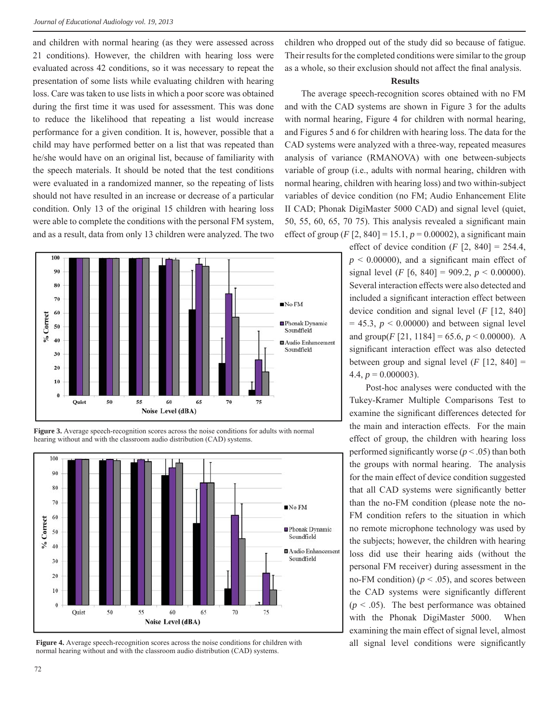and children with normal hearing (as they were assessed across 21 conditions). However, the children with hearing loss were evaluated across 42 conditions, so it was necessary to repeat the presentation of some lists while evaluating children with hearing loss. Care was taken to use lists in which a poor score was obtained during the first time it was used for assessment. This was done to reduce the likelihood that repeating a list would increase performance for a given condition. It is, however, possible that a child may have performed better on a list that was repeated than he/she would have on an original list, because of familiarity with the speech materials. It should be noted that the test conditions were evaluated in a randomized manner, so the repeating of lists should not have resulted in an increase or decrease of a particular condition. Only 13 of the original 15 children with hearing loss were able to complete the conditions with the personal FM system, and as a result, data from only 13 children were analyzed. The two



**Figure 3.** Average speech-recognition scores across the noise conditions for adults with normal hearing without and with the classroom audio distribution (CAD) systems.



**Figure 4.** Average speech-recognition scores across the noise conditions for children with all signal level conditions were significantly normal hearing without and with the classroom audio distribution (CAD) systems.

children who dropped out of the study did so because of fatigue. Their results for the completed conditions were similar to the group as a whole, so their exclusion should not affect the final analysis.

#### **Results**

The average speech-recognition scores obtained with no FM and with the CAD systems are shown in Figure 3 for the adults with normal hearing, Figure 4 for children with normal hearing, and Figures 5 and 6 for children with hearing loss. The data for the CAD systems were analyzed with a three-way, repeated measures analysis of variance (RMANOVA) with one between-subjects variable of group (i.e., adults with normal hearing, children with normal hearing, children with hearing loss) and two within-subject variables of device condition (no FM; Audio Enhancement Elite II CAD; Phonak DigiMaster 5000 CAD) and signal level (quiet, 50, 55, 60, 65, 70 75). This analysis revealed a significant main effect of group  $(F [2, 840] = 15.1, p = 0.00002)$ , a significant main

effect of device condition  $(F [2, 840] = 254.4,$  $p \leq 0.00000$ , and a significant main effect of signal level (*F* [6, 840] = 909.2,  $p < 0.00000$ ). Several interaction effects were also detected and included a significant interaction effect between device condition and signal level (*F* [12, 840]  $= 45.3$ ,  $p < 0.00000$ ) and between signal level and group( $F$ [21, 1184] = 65.6,  $p < 0.00000$ ). A significant interaction effect was also detected between group and signal level  $(F [12, 840] =$ 4.4,  $p = 0.000003$ ).

Post-hoc analyses were conducted with the Tukey-Kramer Multiple Comparisons Test to examine the significant differences detected for the main and interaction effects. For the main effect of group, the children with hearing loss performed significantly worse ( $p < .05$ ) than both the groups with normal hearing. The analysis for the main effect of device condition suggested that all CAD systems were significantly better than the no-FM condition (please note the no-FM condition refers to the situation in which no remote microphone technology was used by the subjects; however, the children with hearing loss did use their hearing aids (without the personal FM receiver) during assessment in the no-FM condition) ( $p < .05$ ), and scores between the CAD systems were significantly different  $(p < .05)$ . The best performance was obtained with the Phonak DigiMaster 5000. When examining the main effect of signal level, almost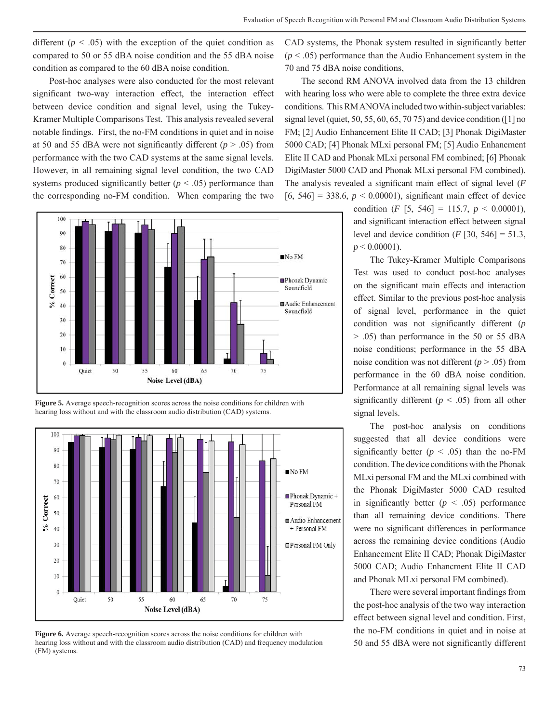different  $(p < .05)$  with the exception of the quiet condition as compared to 50 or 55 dBA noise condition and the 55 dBA noise condition as compared to the 60 dBA noise condition.

Post-hoc analyses were also conducted for the most relevant significant two-way interaction effect, the interaction effect between device condition and signal level, using the Tukey-Kramer Multiple Comparisons Test. This analysis revealed several notable findings. First, the no-FM conditions in quiet and in noise at 50 and 55 dBA were not significantly different ( $p > .05$ ) from performance with the two CAD systems at the same signal levels. However, in all remaining signal level condition, the two CAD systems produced significantly better  $(p < .05)$  performance than the corresponding no-FM condition. When comparing the two



**Figure 5.** Average speech-recognition scores across the noise conditions for children with hearing loss without and with the classroom audio distribution (CAD) systems.



**Figure 6.** Average speech-recognition scores across the noise conditions for children with hearing loss without and with the classroom audio distribution (CAD) and frequency modulation (FM) systems.

CAD systems, the Phonak system resulted in significantly better  $(p < .05)$  performance than the Audio Enhancement system in the 70 and 75 dBA noise conditions,

The second RM ANOVA involved data from the 13 children with hearing loss who were able to complete the three extra device conditions. This RM ANOVA included two within-subject variables: signal level (quiet, 50, 55, 60, 65, 70 75) and device condition ( $\lceil 1 \rceil$  no FM; [2] Audio Enhancement Elite II CAD; [3] Phonak DigiMaster 5000 CAD; [4] Phonak MLxi personal FM; [5] Audio Enhancment Elite II CAD and Phonak MLxi personal FM combined; [6] Phonak DigiMaster 5000 CAD and Phonak MLxi personal FM combined). The analysis revealed a significant main effect of signal level (*F*  $[6, 546] = 338.6, p < 0.00001$ , significant main effect of device

> condition  $(F [5, 546] = 115.7, p < 0.00001)$ , and significant interaction effect between signal level and device condition  $(F [30, 546] = 51.3)$ ,  $p \le 0.00001$ ).

> The Tukey-Kramer Multiple Comparisons Test was used to conduct post-hoc analyses on the significant main effects and interaction effect. Similar to the previous post-hoc analysis of signal level, performance in the quiet condition was not significantly different (*p* > .05) than performance in the 50 or 55 dBA noise conditions; performance in the 55 dBA noise condition was not different  $(p > .05)$  from performance in the 60 dBA noise condition. Performance at all remaining signal levels was significantly different  $(p < .05)$  from all other signal levels.

> The post-hoc analysis on conditions suggested that all device conditions were significantly better  $(p < .05)$  than the no-FM condition. The device conditions with the Phonak MLxi personal FM and the MLxi combined with the Phonak DigiMaster 5000 CAD resulted in significantly better  $(p \lt 0.05)$  performance than all remaining device conditions. There were no significant differences in performance across the remaining device conditions (Audio Enhancement Elite II CAD; Phonak DigiMaster 5000 CAD; Audio Enhancment Elite II CAD and Phonak MLxi personal FM combined).

> There were several important findings from the post-hoc analysis of the two way interaction effect between signal level and condition. First, the no-FM conditions in quiet and in noise at 50 and 55 dBA were not significantly different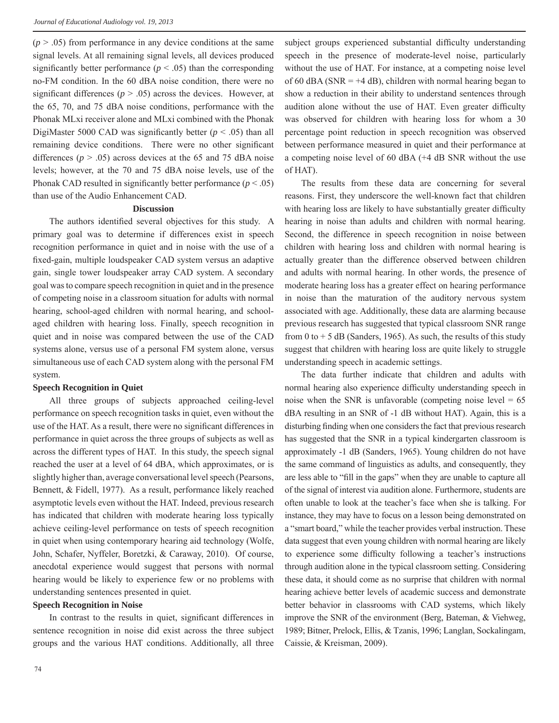$(p > .05)$  from performance in any device conditions at the same signal levels. At all remaining signal levels, all devices produced significantly better performance ( $p < .05$ ) than the corresponding no-FM condition. In the 60 dBA noise condition, there were no significant differences ( $p > .05$ ) across the devices. However, at the 65, 70, and 75 dBA noise conditions, performance with the Phonak MLxi receiver alone and MLxi combined with the Phonak DigiMaster 5000 CAD was significantly better  $(p < .05)$  than all remaining device conditions. There were no other significant differences ( $p > .05$ ) across devices at the 65 and 75 dBA noise levels; however, at the 70 and 75 dBA noise levels, use of the Phonak CAD resulted in significantly better performance  $(p < .05)$ than use of the Audio Enhancement CAD.

#### **Discussion**

The authors identified several objectives for this study. A primary goal was to determine if differences exist in speech recognition performance in quiet and in noise with the use of a fi xed-gain, multiple loudspeaker CAD system versus an adaptive gain, single tower loudspeaker array CAD system. A secondary goal was to compare speech recognition in quiet and in the presence of competing noise in a classroom situation for adults with normal hearing, school-aged children with normal hearing, and schoolaged children with hearing loss. Finally, speech recognition in quiet and in noise was compared between the use of the CAD systems alone, versus use of a personal FM system alone, versus simultaneous use of each CAD system along with the personal FM system.

#### **Speech Recognition in Quiet**

All three groups of subjects approached ceiling-level performance on speech recognition tasks in quiet, even without the use of the HAT. As a result, there were no significant differences in performance in quiet across the three groups of subjects as well as across the different types of HAT. In this study, the speech signal reached the user at a level of 64 dBA, which approximates, or is slightly higher than, average conversational level speech (Pearsons, Bennett, & Fidell, 1977). As a result, performance likely reached asymptotic levels even without the HAT. Indeed, previous research has indicated that children with moderate hearing loss typically achieve ceiling-level performance on tests of speech recognition in quiet when using contemporary hearing aid technology (Wolfe, John, Schafer, Nyffeler, Boretzki, & Caraway, 2010). Of course, anecdotal experience would suggest that persons with normal hearing would be likely to experience few or no problems with understanding sentences presented in quiet.

#### **Speech Recognition in Noise**

In contrast to the results in quiet, significant differences in sentence recognition in noise did exist across the three subject groups and the various HAT conditions. Additionally, all three subject groups experienced substantial difficulty understanding speech in the presence of moderate-level noise, particularly without the use of HAT. For instance, at a competing noise level of 60 dBA (SNR =  $+4$  dB), children with normal hearing began to show a reduction in their ability to understand sentences through audition alone without the use of HAT. Even greater difficulty was observed for children with hearing loss for whom a 30 percentage point reduction in speech recognition was observed between performance measured in quiet and their performance at a competing noise level of 60 dBA (+4 dB SNR without the use of HAT).

The results from these data are concerning for several reasons. First, they underscore the well-known fact that children with hearing loss are likely to have substantially greater difficulty hearing in noise than adults and children with normal hearing. Second, the difference in speech recognition in noise between children with hearing loss and children with normal hearing is actually greater than the difference observed between children and adults with normal hearing. In other words, the presence of moderate hearing loss has a greater effect on hearing performance in noise than the maturation of the auditory nervous system associated with age. Additionally, these data are alarming because previous research has suggested that typical classroom SNR range from 0 to  $+$  5 dB (Sanders, 1965). As such, the results of this study suggest that children with hearing loss are quite likely to struggle understanding speech in academic settings.

The data further indicate that children and adults with normal hearing also experience difficulty understanding speech in noise when the SNR is unfavorable (competing noise level  $= 65$ ) dBA resulting in an SNR of -1 dB without HAT). Again, this is a disturbing finding when one considers the fact that previous research has suggested that the SNR in a typical kindergarten classroom is approximately -1 dB (Sanders, 1965). Young children do not have the same command of linguistics as adults, and consequently, they are less able to "fill in the gaps" when they are unable to capture all of the signal of interest via audition alone. Furthermore, students are often unable to look at the teacher's face when she is talking. For instance, they may have to focus on a lesson being demonstrated on a "smart board," while the teacher provides verbal instruction. These data suggest that even young children with normal hearing are likely to experience some difficulty following a teacher's instructions through audition alone in the typical classroom setting. Considering these data, it should come as no surprise that children with normal hearing achieve better levels of academic success and demonstrate better behavior in classrooms with CAD systems, which likely improve the SNR of the environment (Berg, Bateman, & Viehweg, 1989; Bitner, Prelock, Ellis, & Tzanis, 1996; Langlan, Sockalingam, Caissie, & Kreisman, 2009).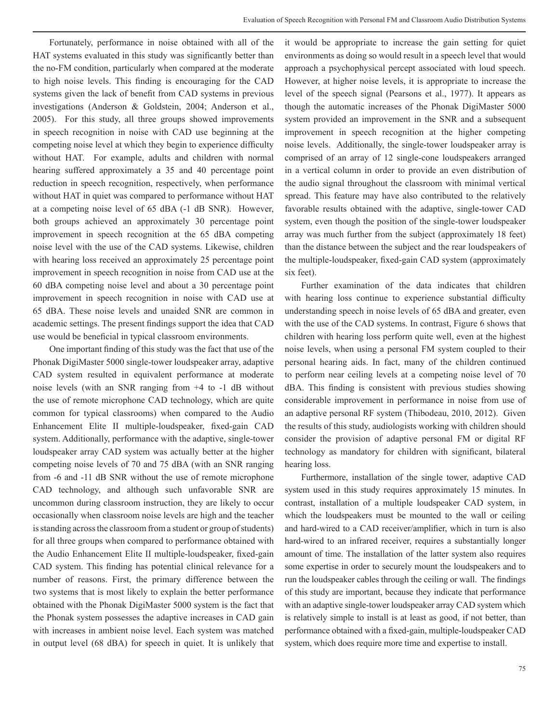Fortunately, performance in noise obtained with all of the HAT systems evaluated in this study was significantly better than the no-FM condition, particularly when compared at the moderate to high noise levels. This finding is encouraging for the CAD systems given the lack of benefit from CAD systems in previous investigations (Anderson & Goldstein, 2004; Anderson et al., 2005). For this study, all three groups showed improvements in speech recognition in noise with CAD use beginning at the competing noise level at which they begin to experience difficulty without HAT. For example, adults and children with normal hearing suffered approximately a 35 and 40 percentage point reduction in speech recognition, respectively, when performance without HAT in quiet was compared to performance without HAT at a competing noise level of 65 dBA (-1 dB SNR). However, both groups achieved an approximately 30 percentage point improvement in speech recognition at the 65 dBA competing noise level with the use of the CAD systems. Likewise, children with hearing loss received an approximately 25 percentage point improvement in speech recognition in noise from CAD use at the 60 dBA competing noise level and about a 30 percentage point improvement in speech recognition in noise with CAD use at 65 dBA. These noise levels and unaided SNR are common in academic settings. The present findings support the idea that CAD use would be beneficial in typical classroom environments.

One important finding of this study was the fact that use of the Phonak DigiMaster 5000 single-tower loudspeaker array, adaptive CAD system resulted in equivalent performance at moderate noise levels (with an SNR ranging from +4 to -1 dB without the use of remote microphone CAD technology, which are quite common for typical classrooms) when compared to the Audio Enhancement Elite II multiple-loudspeaker, fixed-gain CAD system. Additionally, performance with the adaptive, single-tower loudspeaker array CAD system was actually better at the higher competing noise levels of 70 and 75 dBA (with an SNR ranging from -6 and -11 dB SNR without the use of remote microphone CAD technology, and although such unfavorable SNR are uncommon during classroom instruction, they are likely to occur occasionally when classroom noise levels are high and the teacher is standing across the classroom from a student or group of students) for all three groups when compared to performance obtained with the Audio Enhancement Elite II multiple-loudspeaker, fixed-gain CAD system. This finding has potential clinical relevance for a number of reasons. First, the primary difference between the two systems that is most likely to explain the better performance obtained with the Phonak DigiMaster 5000 system is the fact that the Phonak system possesses the adaptive increases in CAD gain with increases in ambient noise level. Each system was matched in output level (68 dBA) for speech in quiet. It is unlikely that

it would be appropriate to increase the gain setting for quiet environments as doing so would result in a speech level that would approach a psychophysical percept associated with loud speech. However, at higher noise levels, it is appropriate to increase the level of the speech signal (Pearsons et al., 1977). It appears as though the automatic increases of the Phonak DigiMaster 5000 system provided an improvement in the SNR and a subsequent improvement in speech recognition at the higher competing noise levels. Additionally, the single-tower loudspeaker array is comprised of an array of 12 single-cone loudspeakers arranged in a vertical column in order to provide an even distribution of the audio signal throughout the classroom with minimal vertical spread. This feature may have also contributed to the relatively favorable results obtained with the adaptive, single-tower CAD system, even though the position of the single-tower loudspeaker array was much further from the subject (approximately 18 feet) than the distance between the subject and the rear loudspeakers of the multiple-loudspeaker, fixed-gain CAD system (approximately six feet).

Further examination of the data indicates that children with hearing loss continue to experience substantial difficulty understanding speech in noise levels of 65 dBA and greater, even with the use of the CAD systems. In contrast, Figure 6 shows that children with hearing loss perform quite well, even at the highest noise levels, when using a personal FM system coupled to their personal hearing aids. In fact, many of the children continued to perform near ceiling levels at a competing noise level of 70 dBA. This finding is consistent with previous studies showing considerable improvement in performance in noise from use of an adaptive personal RF system (Thibodeau, 2010, 2012). Given the results of this study, audiologists working with children should consider the provision of adaptive personal FM or digital RF technology as mandatory for children with significant, bilateral hearing loss.

Furthermore, installation of the single tower, adaptive CAD system used in this study requires approximately 15 minutes. In contrast, installation of a multiple loudspeaker CAD system, in which the loudspeakers must be mounted to the wall or ceiling and hard-wired to a CAD receiver/amplifier, which in turn is also hard-wired to an infrared receiver, requires a substantially longer amount of time. The installation of the latter system also requires some expertise in order to securely mount the loudspeakers and to run the loudspeaker cables through the ceiling or wall. The findings of this study are important, because they indicate that performance with an adaptive single-tower loudspeaker array CAD system which is relatively simple to install is at least as good, if not better, than performance obtained with a fixed-gain, multiple-loudspeaker CAD system, which does require more time and expertise to install.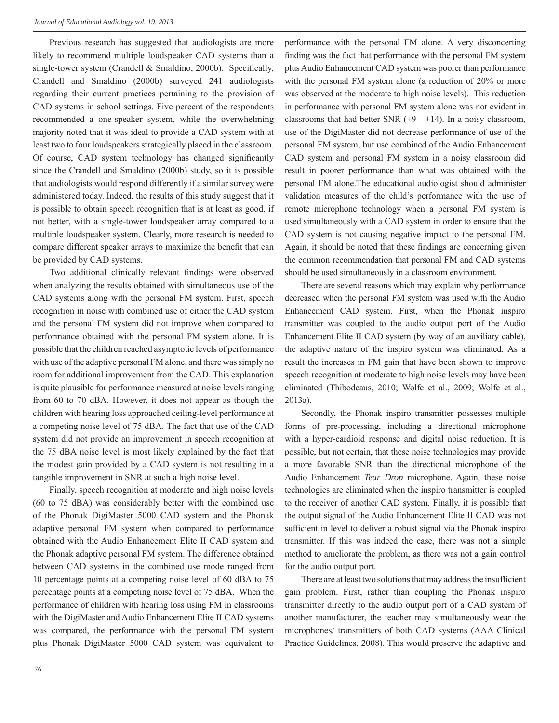Previous research has suggested that audiologists are more likely to recommend multiple loudspeaker CAD systems than a single-tower system (Crandell  $& Smallino, 2000b$ ). Specifically, Crandell and Smaldino (2000b) surveyed 241 audiologists regarding their current practices pertaining to the provision of CAD systems in school settings. Five percent of the respondents recommended a one-speaker system, while the overwhelming majority noted that it was ideal to provide a CAD system with at least two to four loudspeakers strategically placed in the classroom. Of course, CAD system technology has changed significantly since the Crandell and Smaldino (2000b) study, so it is possible that audiologists would respond differently if a similar survey were administered today. Indeed, the results of this study suggest that it is possible to obtain speech recognition that is at least as good, if not better, with a single-tower loudspeaker array compared to a multiple loudspeaker system. Clearly, more research is needed to compare different speaker arrays to maximize the benefit that can be provided by CAD systems.

Two additional clinically relevant findings were observed when analyzing the results obtained with simultaneous use of the CAD systems along with the personal FM system. First, speech recognition in noise with combined use of either the CAD system and the personal FM system did not improve when compared to performance obtained with the personal FM system alone. It is possible that the children reached asymptotic levels of performance with use of the adaptive personal FM alone, and there was simply no room for additional improvement from the CAD. This explanation is quite plausible for performance measured at noise levels ranging from 60 to 70 dBA. However, it does not appear as though the children with hearing loss approached ceiling-level performance at a competing noise level of 75 dBA. The fact that use of the CAD system did not provide an improvement in speech recognition at the 75 dBA noise level is most likely explained by the fact that the modest gain provided by a CAD system is not resulting in a tangible improvement in SNR at such a high noise level.

Finally, speech recognition at moderate and high noise levels (60 to 75 dBA) was considerably better with the combined use of the Phonak DigiMaster 5000 CAD system and the Phonak adaptive personal FM system when compared to performance obtained with the Audio Enhancement Elite II CAD system and the Phonak adaptive personal FM system. The difference obtained between CAD systems in the combined use mode ranged from 10 percentage points at a competing noise level of 60 dBA to 75 percentage points at a competing noise level of 75 dBA. When the performance of children with hearing loss using FM in classrooms with the DigiMaster and Audio Enhancement Elite II CAD systems was compared, the performance with the personal FM system plus Phonak DigiMaster 5000 CAD system was equivalent to

performance with the personal FM alone. A very disconcerting finding was the fact that performance with the personal FM system plus Audio Enhancement CAD system was poorer than performance with the personal FM system alone (a reduction of 20% or more was observed at the moderate to high noise levels). This reduction in performance with personal FM system alone was not evident in classrooms that had better SNR  $(+9 - +14)$ . In a noisy classroom, use of the DigiMaster did not decrease performance of use of the personal FM system, but use combined of the Audio Enhancement CAD system and personal FM system in a noisy classroom did result in poorer performance than what was obtained with the personal FM alone.The educational audiologist should administer validation measures of the child's performance with the use of remote microphone technology when a personal FM system is used simultaneously with a CAD system in order to ensure that the CAD system is not causing negative impact to the personal FM. Again, it should be noted that these findings are concerning given the common recommendation that personal FM and CAD systems should be used simultaneously in a classroom environment.

There are several reasons which may explain why performance decreased when the personal FM system was used with the Audio Enhancement CAD system. First, when the Phonak inspiro transmitter was coupled to the audio output port of the Audio Enhancement Elite II CAD system (by way of an auxiliary cable), the adaptive nature of the inspiro system was eliminated. As a result the increases in FM gain that have been shown to improve speech recognition at moderate to high noise levels may have been eliminated (Thibodeaus, 2010; Wolfe et al., 2009; Wolfe et al., 2013a).

Secondly, the Phonak inspiro transmitter possesses multiple forms of pre-processing, including a directional microphone with a hyper-cardioid response and digital noise reduction. It is possible, but not certain, that these noise technologies may provide a more favorable SNR than the directional microphone of the Audio Enhancement *Tear Drop* microphone. Again, these noise technologies are eliminated when the inspiro transmitter is coupled to the receiver of another CAD system. Finally, it is possible that the output signal of the Audio Enhancement Elite II CAD was not sufficient in level to deliver a robust signal via the Phonak inspiro transmitter. If this was indeed the case, there was not a simple method to ameliorate the problem, as there was not a gain control for the audio output port.

There are at least two solutions that may address the insufficient gain problem. First, rather than coupling the Phonak inspiro transmitter directly to the audio output port of a CAD system of another manufacturer, the teacher may simultaneously wear the microphones/ transmitters of both CAD systems (AAA Clinical Practice Guidelines, 2008). This would preserve the adaptive and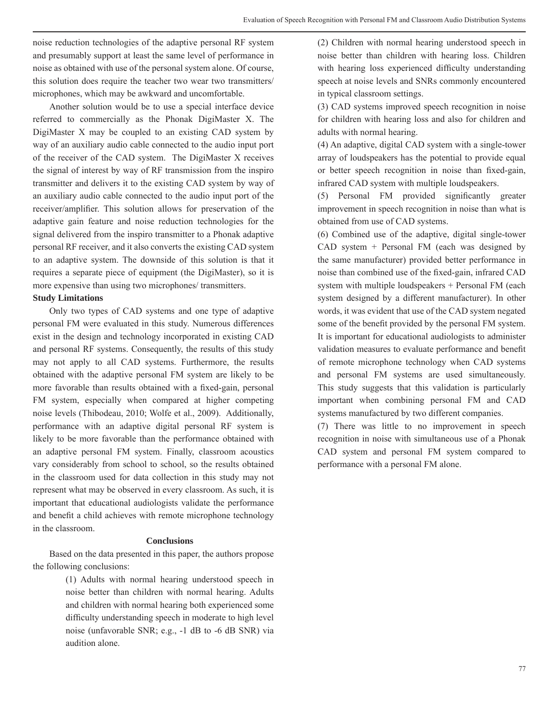noise reduction technologies of the adaptive personal RF system and presumably support at least the same level of performance in noise as obtained with use of the personal system alone. Of course, this solution does require the teacher two wear two transmitters/ microphones, which may be awkward and uncomfortable.

Another solution would be to use a special interface device referred to commercially as the Phonak DigiMaster X. The DigiMaster X may be coupled to an existing CAD system by way of an auxiliary audio cable connected to the audio input port of the receiver of the CAD system. The DigiMaster X receives the signal of interest by way of RF transmission from the inspiro transmitter and delivers it to the existing CAD system by way of an auxiliary audio cable connected to the audio input port of the receiver/amplifier. This solution allows for preservation of the adaptive gain feature and noise reduction technologies for the signal delivered from the inspiro transmitter to a Phonak adaptive personal RF receiver, and it also converts the existing CAD system to an adaptive system. The downside of this solution is that it requires a separate piece of equipment (the DigiMaster), so it is more expensive than using two microphones/ transmitters.

#### **Study Limitations**

Only two types of CAD systems and one type of adaptive personal FM were evaluated in this study. Numerous differences exist in the design and technology incorporated in existing CAD and personal RF systems. Consequently, the results of this study may not apply to all CAD systems. Furthermore, the results obtained with the adaptive personal FM system are likely to be more favorable than results obtained with a fixed-gain, personal FM system, especially when compared at higher competing noise levels (Thibodeau, 2010; Wolfe et al., 2009). Additionally, performance with an adaptive digital personal RF system is likely to be more favorable than the performance obtained with an adaptive personal FM system. Finally, classroom acoustics vary considerably from school to school, so the results obtained in the classroom used for data collection in this study may not represent what may be observed in every classroom. As such, it is important that educational audiologists validate the performance and benefit a child achieves with remote microphone technology in the classroom.

## **Conclusions**

Based on the data presented in this paper, the authors propose the following conclusions:

> (1) Adults with normal hearing understood speech in noise better than children with normal hearing. Adults and children with normal hearing both experienced some difficulty understanding speech in moderate to high level noise (unfavorable SNR; e.g., -1 dB to -6 dB SNR) via audition alone.

(2) Children with normal hearing understood speech in noise better than children with hearing loss. Children with hearing loss experienced difficulty understanding speech at noise levels and SNRs commonly encountered in typical classroom settings.

(3) CAD systems improved speech recognition in noise for children with hearing loss and also for children and adults with normal hearing.

(4) An adaptive, digital CAD system with a single-tower array of loudspeakers has the potential to provide equal or better speech recognition in noise than fixed-gain, infrared CAD system with multiple loudspeakers.

(5) Personal FM provided significantly greater improvement in speech recognition in noise than what is obtained from use of CAD systems.

(6) Combined use of the adaptive, digital single-tower CAD system + Personal FM (each was designed by the same manufacturer) provided better performance in noise than combined use of the fixed-gain, infrared CAD system with multiple loudspeakers + Personal FM (each system designed by a different manufacturer). In other words, it was evident that use of the CAD system negated some of the benefit provided by the personal FM system. It is important for educational audiologists to administer validation measures to evaluate performance and benefit of remote microphone technology when CAD systems and personal FM systems are used simultaneously. This study suggests that this validation is particularly important when combining personal FM and CAD systems manufactured by two different companies.

(7) There was little to no improvement in speech recognition in noise with simultaneous use of a Phonak CAD system and personal FM system compared to performance with a personal FM alone.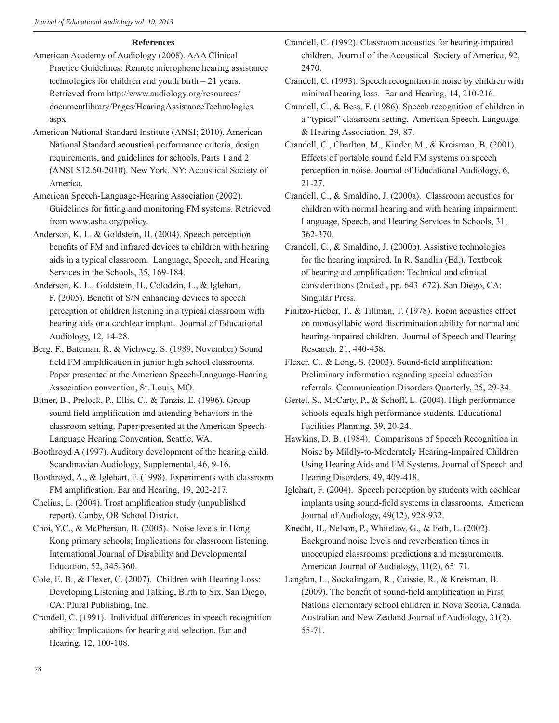## **References**

- American Academy of Audiology (2008). AAA Clinical Practice Guidelines: Remote microphone hearing assistance technologies for children and youth birth – 21 years. Retrieved from http://www.audiology.org/resources/ documentlibrary/Pages/HearingAssistanceTechnologies. aspx.
- American National Standard Institute (ANSI; 2010). American National Standard acoustical performance criteria, design requirements, and guidelines for schools, Parts 1 and 2 (ANSI S12.60-2010). New York, NY: Acoustical Society of America.
- American Speech-Language-Hearing Association (2002). Guidelines for fitting and monitoring FM systems. Retrieved from www.asha.org/policy.
- Anderson, K. L. & Goldstein, H. (2004). Speech perception benefits of FM and infrared devices to children with hearing aids in a typical classroom. Language, Speech, and Hearing Services in the Schools, 35, 169-184.
- Anderson, K. L., Goldstein, H., Colodzin, L., & Iglehart, F. (2005). Benefit of S/N enhancing devices to speech perception of children listening in a typical classroom with hearing aids or a cochlear implant. Journal of Educational Audiology, 12, 14-28.
- Berg, F., Bateman, R. & Viehweg, S. (1989, November) Sound field FM amplification in junior high school classrooms. Paper presented at the American Speech-Language-Hearing Association convention, St. Louis, MO.
- Bitner, B., Prelock, P., Ellis, C., & Tanzis, E. (1996). Group sound field amplification and attending behaviors in the classroom setting. Paper presented at the American Speech-Language Hearing Convention, Seattle, WA.
- Boothroyd A (1997). Auditory development of the hearing child. Scandinavian Audiology, Supplemental, 46, 9-16.
- Boothroyd, A., & Iglehart, F. (1998). Experiments with classroom FM amplification. Ear and Hearing, 19, 202-217.
- Chelius, L. (2004). Trost amplification study (unpublished report). Canby, OR School District.
- Choi, Y.C., & McPherson, B. (2005). Noise levels in Hong Kong primary schools; Implications for classroom listening. International Journal of Disability and Developmental Education, 52, 345-360.
- Cole, E. B., & Flexer, C. (2007). Children with Hearing Loss: Developing Listening and Talking, Birth to Six. San Diego, CA: Plural Publishing, Inc.
- Crandell, C. (1991). Individual differences in speech recognition ability: Implications for hearing aid selection. Ear and Hearing, 12, 100-108.
- Crandell, C. (1992). Classroom acoustics for hearing-impaired children. Journal of the Acoustical Society of America, 92, 2470.
- Crandell, C. (1993). Speech recognition in noise by children with minimal hearing loss. Ear and Hearing, 14, 210-216.
- Crandell, C., & Bess, F. (1986). Speech recognition of children in a "typical" classroom setting. American Speech, Language, & Hearing Association, 29, 87.
- Crandell, C., Charlton, M., Kinder, M., & Kreisman, B. (2001). Effects of portable sound field FM systems on speech perception in noise. Journal of Educational Audiology, 6, 21-27.
- Crandell, C., & Smaldino, J. (2000a). Classroom acoustics for children with normal hearing and with hearing impairment. Language, Speech, and Hearing Services in Schools, 31, 362-370.
- Crandell, C., & Smaldino, J. (2000b). Assistive technologies for the hearing impaired. In R. Sandlin (Ed.), Textbook of hearing aid amplification: Technical and clinical considerations (2nd.ed., pp. 643–672). San Diego, CA: Singular Press.
- Finitzo-Hieber, T., & Tillman, T. (1978). Room acoustics effect on monosyllabic word discrimination ability for normal and hearing-impaired children. Journal of Speech and Hearing Research, 21, 440-458.
- Flexer, C., & Long, S. (2003). Sound-field amplification: Preliminary information regarding special education referrals. Communication Disorders Quarterly, 25, 29-34.
- Gertel, S., McCarty, P., & Schoff, L. (2004). High performance schools equals high performance students. Educational Facilities Planning, 39, 20-24.
- Hawkins, D. B. (1984). Comparisons of Speech Recognition in Noise by Mildly-to-Moderately Hearing-Impaired Children Using Hearing Aids and FM Systems. Journal of Speech and Hearing Disorders, 49, 409-418.
- Iglehart, F. (2004). Speech perception by students with cochlear implants using sound-field systems in classrooms. American Journal of Audiology, 49(12), 928-932.
- Knecht, H., Nelson, P., Whitelaw, G., & Feth, L. (2002). Background noise levels and reverberation times in unoccupied classrooms: predictions and measurements. American Journal of Audiology, 11(2), 65–71.
- Langlan, L., Sockalingam, R., Caissie, R., & Kreisman, B.  $(2009)$ . The benefit of sound-field amplification in First Nations elementary school children in Nova Scotia, Canada. Australian and New Zealand Journal of Audiology, 31(2), 55-71.